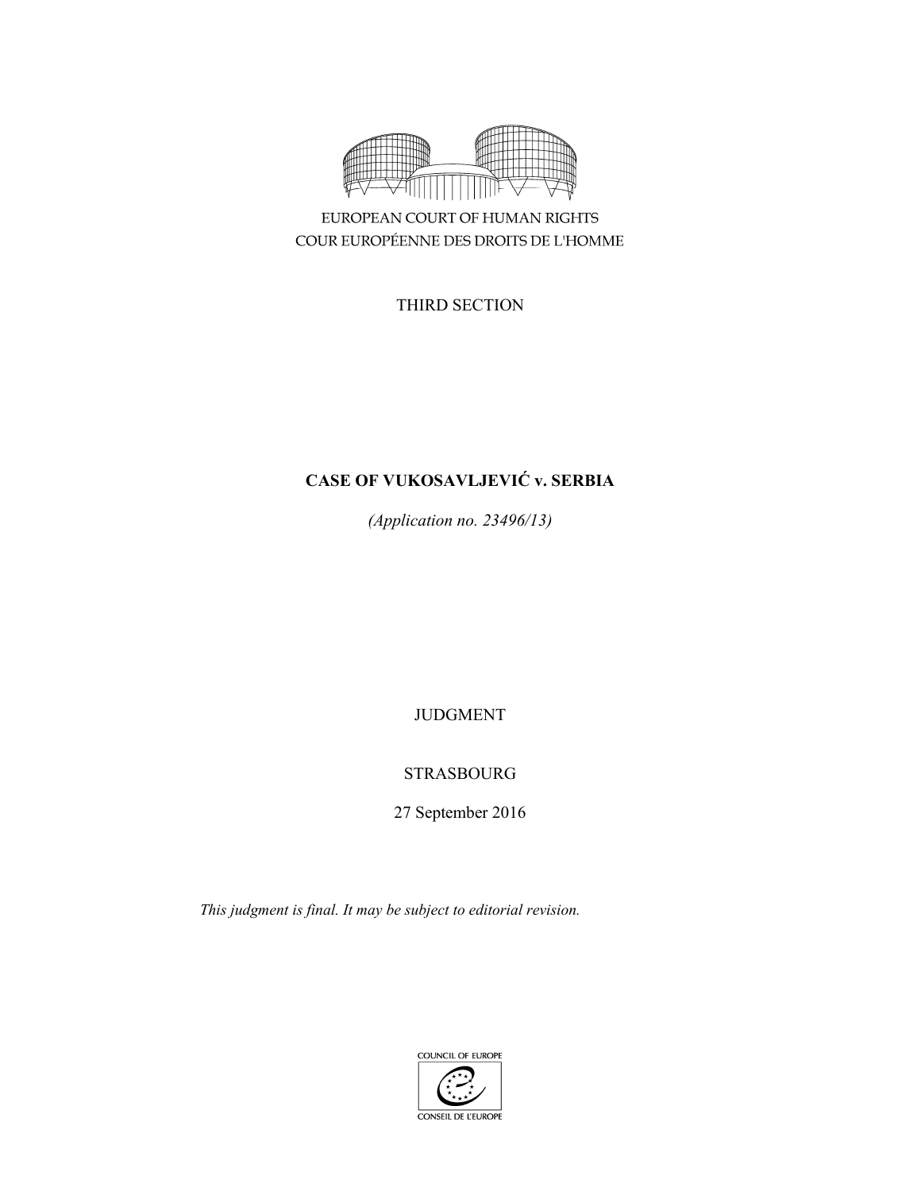

EUROPEAN COURT OF HUMAN RIGHTS COUR EUROPÉENNE DES DROITS DE L'HOMME

THIRD SECTION

# **CASE OF VUKOSAVLJEVIĆ v. SERBIA**

*(Application no. 23496/13)* 

JUDGMENT

# STRASBOURG

27 September 2016

*This judgment is final. It may be subject to editorial revision.* 

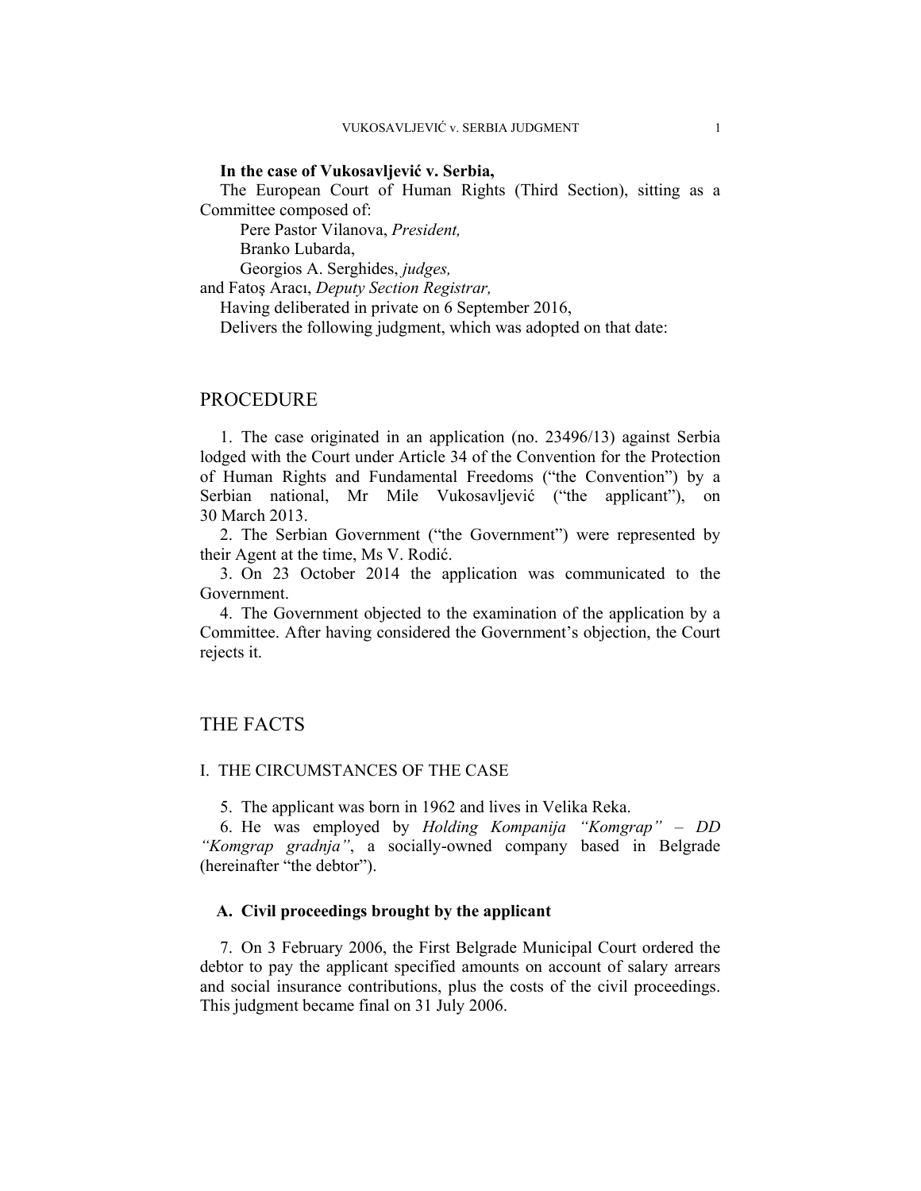### **In the case of Vukosavljević v. Serbia,**

The European Court of Human Rights (Third Section), sitting as a Committee composed of:

Pere Pastor Vilanova, *President,* 

Branko Lubarda,

Georgios A. Serghides, *judges,*

and Fatoş Aracı, *Deputy Section Registrar,*

Having deliberated in private on 6 September 2016,

Delivers the following judgment, which was adopted on that date:

# PROCEDURE

1. The case originated in an application (no. 23496/13) against Serbia lodged with the Court under Article 34 of the Convention for the Protection of Human Rights and Fundamental Freedoms ("the Convention") by a Serbian national, Mr Mile Vukosavljević ("the applicant"), on 30 March 2013.

2. The Serbian Government ("the Government") were represented by their Agent at the time, Ms V. Rodić.

3. On 23 October 2014 the application was communicated to the Government.

4. The Government objected to the examination of the application by a Committee. After having considered the Government's objection, the Court rejects it.

# THE FACTS

#### I. THE CIRCUMSTANCES OF THE CASE

5. The applicant was born in 1962 and lives in Velika Reka.

6. He was employed by *Holding Kompanija "Komgrap" – DD "Komgrap gradnja"*, a socially-owned company based in Belgrade (hereinafter "the debtor").

### **A. Civil proceedings brought by the applicant**

7. On 3 February 2006, the First Belgrade Municipal Court ordered the debtor to pay the applicant specified amounts on account of salary arrears and social insurance contributions, plus the costs of the civil proceedings. This judgment became final on 31 July 2006.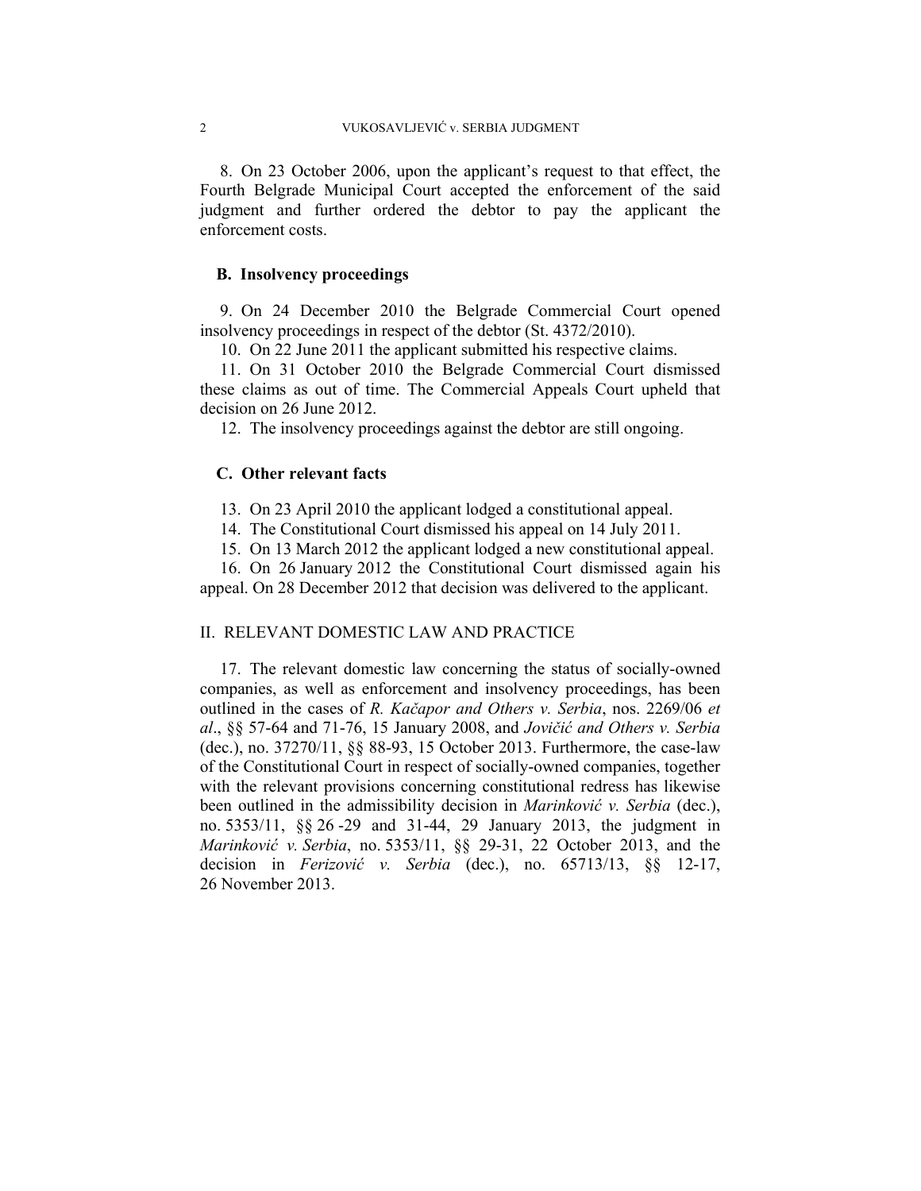8. On 23 October 2006, upon the applicant's request to that effect, the Fourth Belgrade Municipal Court accepted the enforcement of the said judgment and further ordered the debtor to pay the applicant the enforcement costs.

### **B. Insolvency proceedings**

9. On 24 December 2010 the Belgrade Commercial Court opened insolvency proceedings in respect of the debtor (St. 4372/2010).

10. On 22 June 2011 the applicant submitted his respective claims.

11. On 31 October 2010 the Belgrade Commercial Court dismissed these claims as out of time. The Commercial Appeals Court upheld that decision on 26 June 2012.

12. The insolvency proceedings against the debtor are still ongoing.

### **C. Other relevant facts**

13. On 23 April 2010 the applicant lodged a constitutional appeal.

14. The Constitutional Court dismissed his appeal on 14 July 2011.

15. On 13 March 2012 the applicant lodged a new constitutional appeal.

16. On 26 January 2012 the Constitutional Court dismissed again his appeal. On 28 December 2012 that decision was delivered to the applicant.

## II. RELEVANT DOMESTIC LAW AND PRACTICE

17. The relevant domestic law concerning the status of socially-owned companies, as well as enforcement and insolvency proceedings, has been outlined in the cases of *R. Kačapor and Others v. Serbia*, nos. 2269/06 *et al*., §§ 57-64 and 71-76, 15 January 2008, and *Jovičić and Others v. Serbia* (dec.), no. 37270/11, §§ 88-93, 15 October 2013. Furthermore, the case-law of the Constitutional Court in respect of socially-owned companies, together with the relevant provisions concerning constitutional redress has likewise been outlined in the admissibility decision in *Marinković v. Serbia* (dec.), no. 5353/11, §§ 26 -29 and 31-44, 29 January 2013, the judgment in *Marinković v. Serbia*, no. 5353/11, §§ 29-31, 22 October 2013, and the decision in *Ferizović v. Serbia* (dec.), no. 65713/13, §§ 12-17, 26 November 2013.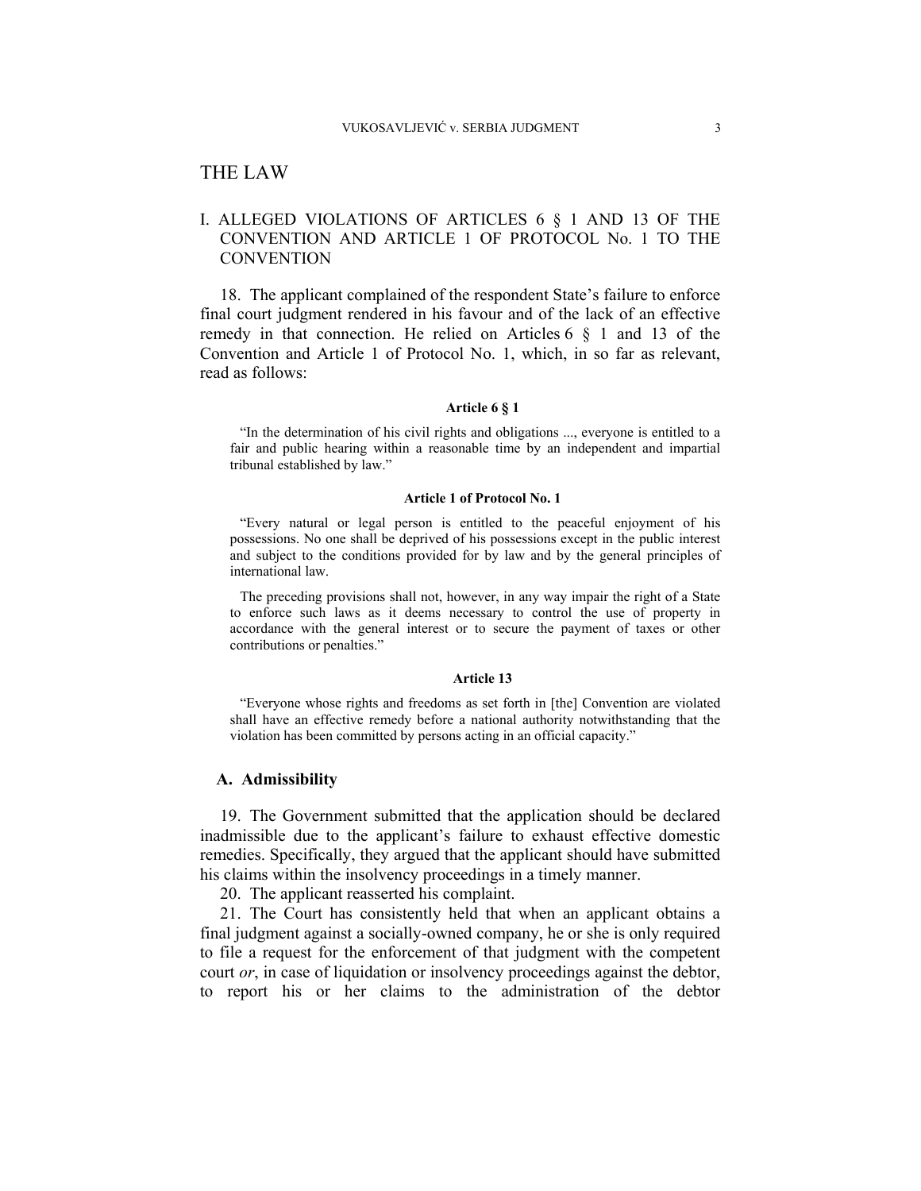# THE LAW

# I. ALLEGED VIOLATIONS OF ARTICLES 6 § 1 AND 13 OF THE CONVENTION AND ARTICLE 1 OF PROTOCOL No. 1 TO THE **CONVENTION**

18. The applicant complained of the respondent State's failure to enforce final court judgment rendered in his favour and of the lack of an effective remedy in that connection. He relied on Articles  $6 \t S 1$  and 13 of the Convention and Article 1 of Protocol No. 1, which, in so far as relevant, read as follows:

#### **Article 6 § 1**

"In the determination of his civil rights and obligations ..., everyone is entitled to a fair and public hearing within a reasonable time by an independent and impartial tribunal established by law."

#### **Article 1 of Protocol No. 1**

"Every natural or legal person is entitled to the peaceful enjoyment of his possessions. No one shall be deprived of his possessions except in the public interest and subject to the conditions provided for by law and by the general principles of international law.

The preceding provisions shall not, however, in any way impair the right of a State to enforce such laws as it deems necessary to control the use of property in accordance with the general interest or to secure the payment of taxes or other contributions or penalties."

#### **Article 13**

"Everyone whose rights and freedoms as set forth in [the] Convention are violated shall have an effective remedy before a national authority notwithstanding that the violation has been committed by persons acting in an official capacity."

#### **A. Admissibility**

19. The Government submitted that the application should be declared inadmissible due to the applicant's failure to exhaust effective domestic remedies. Specifically, they argued that the applicant should have submitted his claims within the insolvency proceedings in a timely manner.

20. The applicant reasserted his complaint.

21. The Court has consistently held that when an applicant obtains a final judgment against a socially-owned company, he or she is only required to file a request for the enforcement of that judgment with the competent court *or*, in case of liquidation or insolvency proceedings against the debtor, to report his or her claims to the administration of the debtor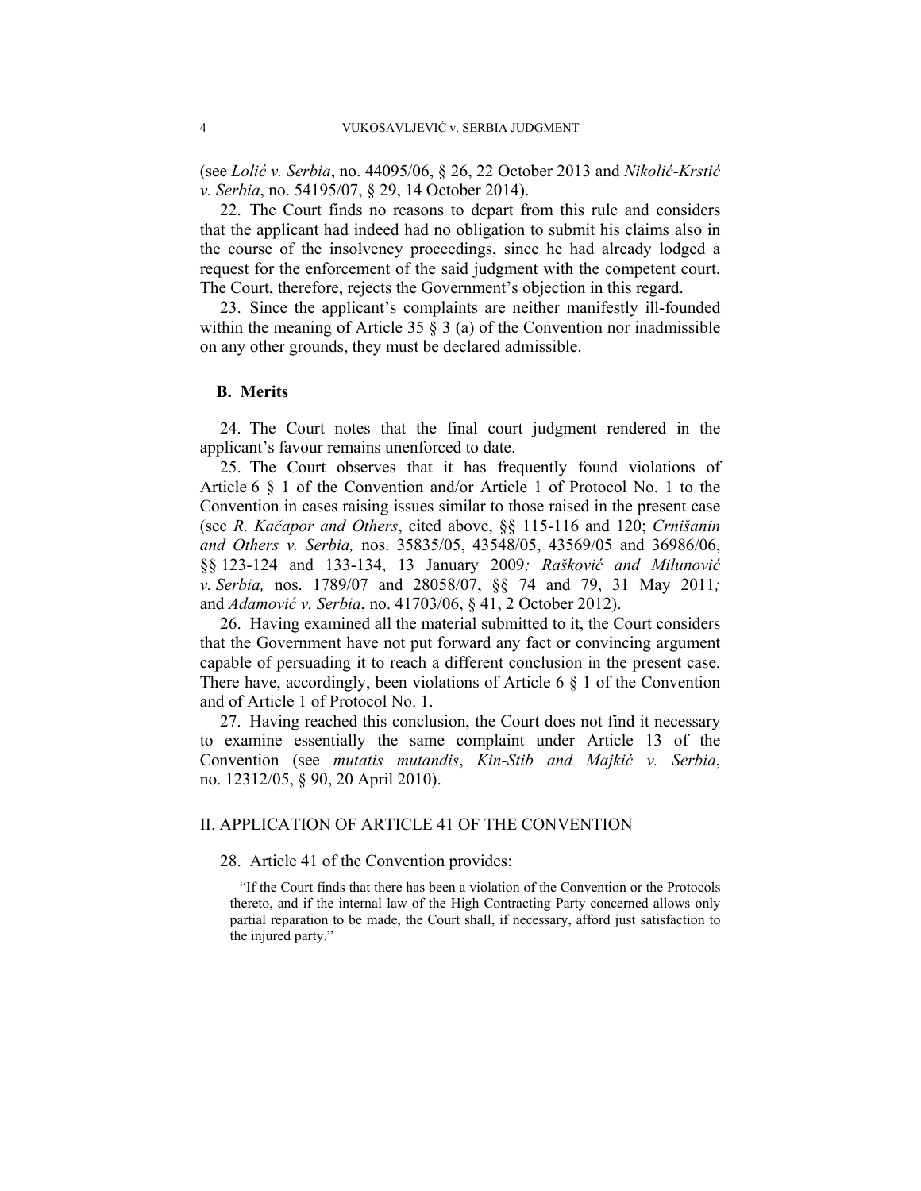(see *Lolić v. Serbia*, no. 44095/06, § 26, 22 October 2013 and *Nikolić-Krstić v. Serbia*, no. 54195/07, § 29, 14 October 2014).

22. The Court finds no reasons to depart from this rule and considers that the applicant had indeed had no obligation to submit his claims also in the course of the insolvency proceedings, since he had already lodged a request for the enforcement of the said judgment with the competent court. The Court, therefore, rejects the Government's objection in this regard.

23. Since the applicant's complaints are neither manifestly ill-founded within the meaning of Article 35  $\S$  3 (a) of the Convention nor inadmissible on any other grounds, they must be declared admissible.

### **B. Merits**

24. The Court notes that the final court judgment rendered in the applicant's favour remains unenforced to date.

25. The Court observes that it has frequently found violations of Article 6 § 1 of the Convention and/or Article 1 of Protocol No. 1 to the Convention in cases raising issues similar to those raised in the present case (see *R. Kačapor and Others*, cited above, §§ 115-116 and 120; *Crnišanin and Others v. Serbia,* nos. 35835/05, 43548/05, 43569/05 and 36986/06, §§ 123-124 and 133-134, 13 January 2009*; Rašković and Milunović v. Serbia,* nos. 1789/07 and 28058/07, §§ 74 and 79, 31 May 2011*;* and *Adamović v. Serbia*, no. 41703/06, § 41, 2 October 2012).

26. Having examined all the material submitted to it, the Court considers that the Government have not put forward any fact or convincing argument capable of persuading it to reach a different conclusion in the present case. There have, accordingly, been violations of Article 6  $\S$  1 of the Convention and of Article 1 of Protocol No. 1.

27. Having reached this conclusion, the Court does not find it necessary to examine essentially the same complaint under Article 13 of the Convention (see *mutatis mutandis*, *Kin-Stib and Majkić v. Serbia*, no. 12312/05, § 90, 20 April 2010).

## II. APPLICATION OF ARTICLE 41 OF THE CONVENTION

28. Article 41 of the Convention provides:

"If the Court finds that there has been a violation of the Convention or the Protocols thereto, and if the internal law of the High Contracting Party concerned allows only partial reparation to be made, the Court shall, if necessary, afford just satisfaction to the injured party."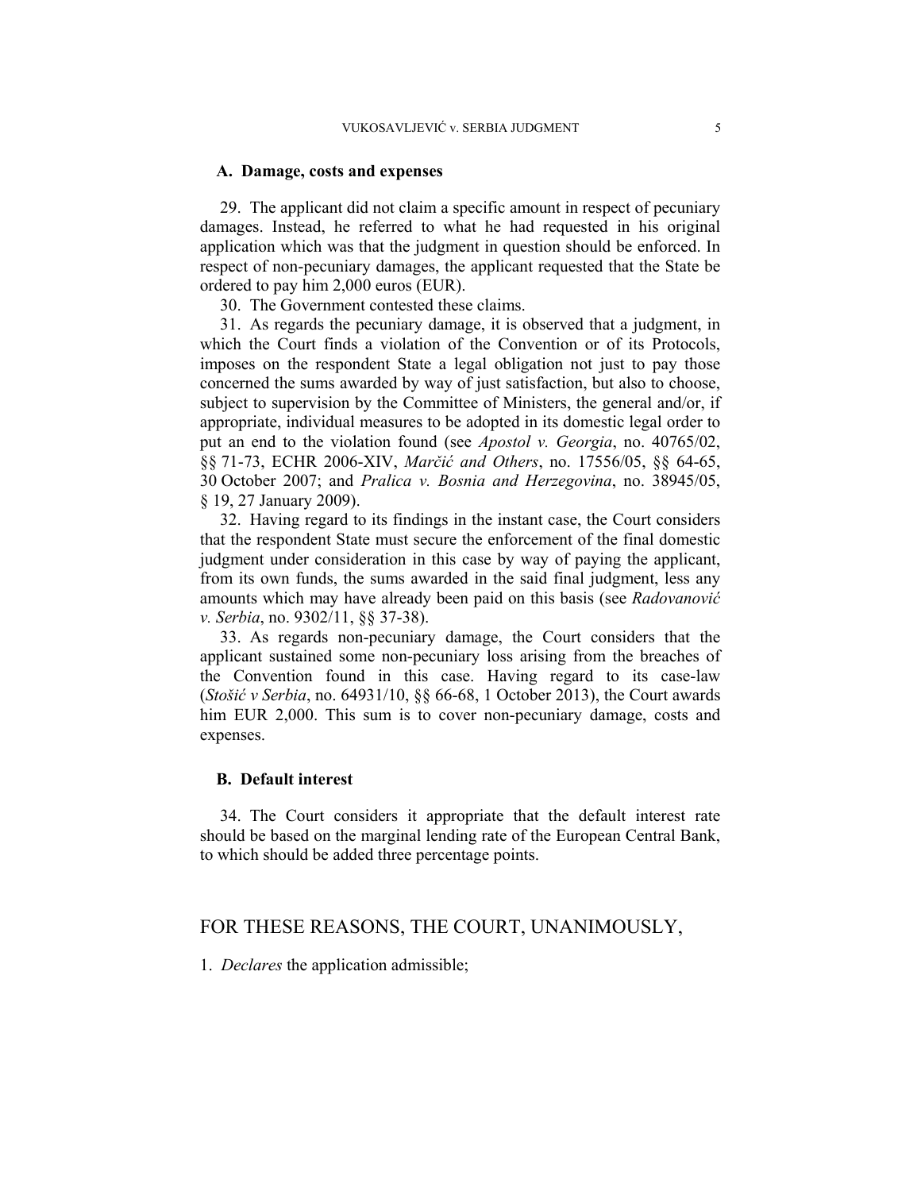### **A. Damage, costs and expenses**

29. The applicant did not claim a specific amount in respect of pecuniary damages. Instead, he referred to what he had requested in his original application which was that the judgment in question should be enforced. In respect of non-pecuniary damages, the applicant requested that the State be ordered to pay him 2,000 euros (EUR).

30. The Government contested these claims.

31. As regards the pecuniary damage, it is observed that a judgment, in which the Court finds a violation of the Convention or of its Protocols, imposes on the respondent State a legal obligation not just to pay those concerned the sums awarded by way of just satisfaction, but also to choose, subject to supervision by the Committee of Ministers, the general and/or, if appropriate, individual measures to be adopted in its domestic legal order to put an end to the violation found (see *Apostol v. Georgia*, no. 40765/02, §§ 71-73, ECHR 2006-XIV, *Marčić and Others*, no. 17556/05, §§ 64-65, 30 October 2007; and *Pralica v. Bosnia and Herzegovina*, no. 38945/05, § 19, 27 January 2009).

32. Having regard to its findings in the instant case, the Court considers that the respondent State must secure the enforcement of the final domestic judgment under consideration in this case by way of paying the applicant, from its own funds, the sums awarded in the said final judgment, less any amounts which may have already been paid on this basis (see *Radovanović v. Serbia*, no. 9302/11, §§ 37-38).

33. As regards non-pecuniary damage, the Court considers that the applicant sustained some non-pecuniary loss arising from the breaches of the Convention found in this case. Having regard to its case-law (*Stošić v Serbia*, no. 64931/10, §§ 66-68, 1 October 2013), the Court awards him EUR 2,000. This sum is to cover non-pecuniary damage, costs and expenses.

# **B. Default interest**

34. The Court considers it appropriate that the default interest rate should be based on the marginal lending rate of the European Central Bank, to which should be added three percentage points.

# FOR THESE REASONS, THE COURT, UNANIMOUSLY,

1. *Declares* the application admissible;